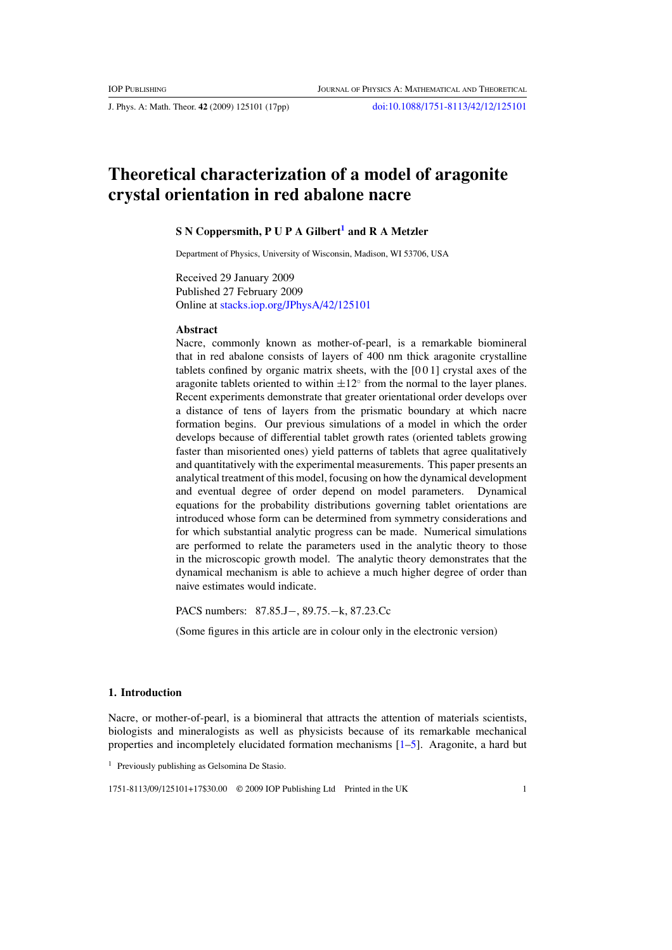J. Phys. A: Math. Theor. **42** (2009) 125101 (17pp) [doi:10.1088/1751-8113/42/12/125101](http://dx.doi.org/10.1088/1751-8113/42/12/125101)

# **Theoretical characterization of a model of aragonite crystal orientation in red abalone nacre**

# **S N Coppersmith, P U P A Gilbert<sup>1</sup> and R A Metzler**

Department of Physics, University of Wisconsin, Madison, WI 53706, USA

Received 29 January 2009 Published 27 February 2009 Online at [stacks.iop.org/JPhysA/42/125101](http://stacks.iop.org/JPhysA/42/125101)

## **Abstract**

Nacre, commonly known as mother-of-pearl, is a remarkable biomineral that in red abalone consists of layers of 400 nm thick aragonite crystalline tablets confined by organic matrix sheets, with the [0 0 1] crystal axes of the aragonite tablets oriented to within  $\pm 12^\circ$  from the normal to the layer planes. Recent experiments demonstrate that greater orientational order develops over a distance of tens of layers from the prismatic boundary at which nacre formation begins. Our previous simulations of a model in which the order develops because of differential tablet growth rates (oriented tablets growing faster than misoriented ones) yield patterns of tablets that agree qualitatively and quantitatively with the experimental measurements. This paper presents an analytical treatment of this model, focusing on how the dynamical development and eventual degree of order depend on model parameters. Dynamical equations for the probability distributions governing tablet orientations are introduced whose form can be determined from symmetry considerations and for which substantial analytic progress can be made. Numerical simulations are performed to relate the parameters used in the analytic theory to those in the microscopic growth model. The analytic theory demonstrates that the dynamical mechanism is able to achieve a much higher degree of order than naive estimates would indicate.

PACS numbers: 87.85.J−, 89.75.−k, 87.23.Cc

(Some figures in this article are in colour only in the electronic version)

## **1. Introduction**

Nacre, or mother-of-pearl, is a biomineral that attracts the attention of materials scientists, biologists and mineralogists as well as physicists because of its remarkable mechanical properties and incompletely elucidated formation mechanisms [\[1–5\]](#page-15-0). Aragonite, a hard but

1751-8113/09/125101+17\$30.00 © 2009 IOP Publishing Ltd Printed in the UK 1

<sup>&</sup>lt;sup>1</sup> Previously publishing as Gelsomina De Stasio.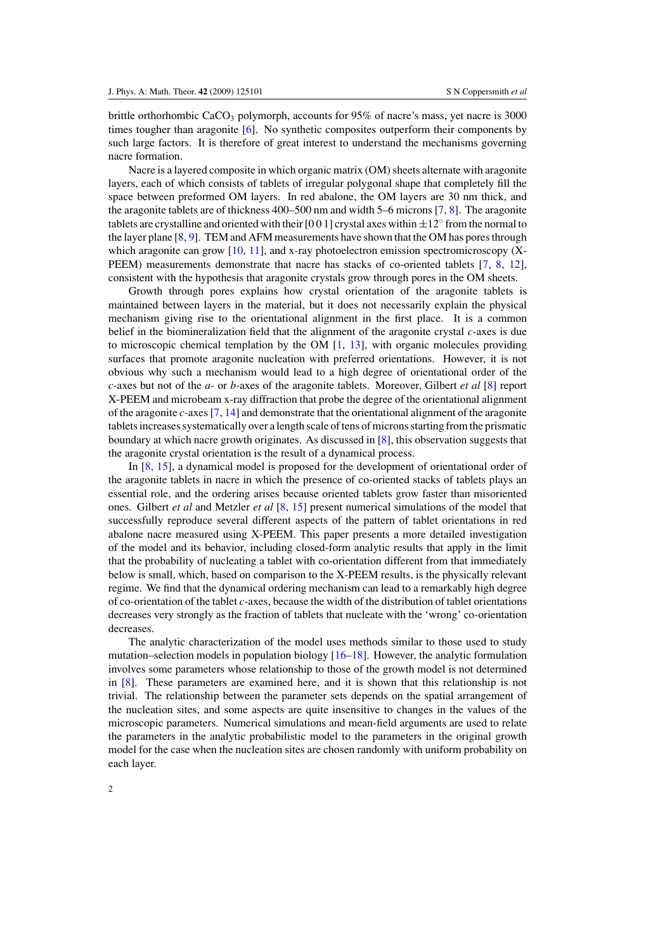brittle orthorhombic  $CaCO<sub>3</sub>$  polymorph, accounts for 95% of nacre's mass, yet nacre is 3000 times tougher than aragonite [\[6\]](#page-15-0). No synthetic composites outperform their components by such large factors. It is therefore of great interest to understand the mechanisms governing nacre formation.

Nacre is a layered composite in which organic matrix (OM) sheets alternate with aragonite layers, each of which consists of tablets of irregular polygonal shape that completely fill the space between preformed OM layers. In red abalone, the OM layers are 30 nm thick, and the aragonite tablets are of thickness 400–500 nm and width 5–6 microns [\[7](#page-15-0), [8\]](#page-15-0). The aragonite tablets are crystalline and oriented with their [0 0 1] crystal axes within  $\pm 12^{\circ}$  from the normal to the layer plane  $[8, 9]$  $[8, 9]$  $[8, 9]$  $[8, 9]$ . TEM and AFM measurements have shown that the OM has pores through which aragonite can grow  $[10, 11]$  $[10, 11]$  $[10, 11]$  $[10, 11]$ , and x-ray photoelectron emission spectromicroscopy (X-PEEM) measurements demonstrate that nacre has stacks of co-oriented tablets [\[7](#page-15-0), [8](#page-15-0), [12\]](#page-15-0), consistent with the hypothesis that aragonite crystals grow through pores in the OM sheets.

Growth through pores explains how crystal orientation of the aragonite tablets is maintained between layers in the material, but it does not necessarily explain the physical mechanism giving rise to the orientational alignment in the first place. It is a common belief in the biomineralization field that the alignment of the aragonite crystal *c*-axes is due to microscopic chemical templation by the OM  $[1, 13]$  $[1, 13]$  $[1, 13]$  $[1, 13]$ , with organic molecules providing surfaces that promote aragonite nucleation with preferred orientations. However, it is not obvious why such a mechanism would lead to a high degree of orientational order of the *c*-axes but not of the *a-* or *b-*axes of the aragonite tablets. Moreover, Gilbert *et al* [\[8\]](#page-15-0) report X-PEEM and microbeam x-ray diffraction that probe the degree of the orientational alignment of the aragonite *c*-axes [\[7](#page-15-0), [14\]](#page-15-0) and demonstrate that the orientational alignment of the aragonite tablets increases systematically over a length scale of tens of microns starting from the prismatic boundary at which nacre growth originates. As discussed in [\[8\]](#page-15-0), this observation suggests that the aragonite crystal orientation is the result of a dynamical process.

In [\[8](#page-15-0), [15\]](#page-15-0), a dynamical model is proposed for the development of orientational order of the aragonite tablets in nacre in which the presence of co-oriented stacks of tablets plays an essential role, and the ordering arises because oriented tablets grow faster than misoriented ones. Gilbert *et al* and Metzler *et al* [\[8](#page-15-0), [15](#page-15-0)] present numerical simulations of the model that successfully reproduce several different aspects of the pattern of tablet orientations in red abalone nacre measured using X-PEEM. This paper presents a more detailed investigation of the model and its behavior, including closed-form analytic results that apply in the limit that the probability of nucleating a tablet with co-orientation different from that immediately below is small, which, based on comparison to the X-PEEM results, is the physically relevant regime. We find that the dynamical ordering mechanism can lead to a remarkably high degree of co-orientation of the tablet *c*-axes, because the width of the distribution of tablet orientations decreases very strongly as the fraction of tablets that nucleate with the 'wrong' co-orientation decreases.

The analytic characterization of the model uses methods similar to those used to study mutation–selection models in population biology [\[16–18](#page-15-0)]. However, the analytic formulation involves some parameters whose relationship to those of the growth model is not determined in [\[8\]](#page-15-0). These parameters are examined here, and it is shown that this relationship is not trivial. The relationship between the parameter sets depends on the spatial arrangement of the nucleation sites, and some aspects are quite insensitive to changes in the values of the microscopic parameters. Numerical simulations and mean-field arguments are used to relate the parameters in the analytic probabilistic model to the parameters in the original growth model for the case when the nucleation sites are chosen randomly with uniform probability on each layer.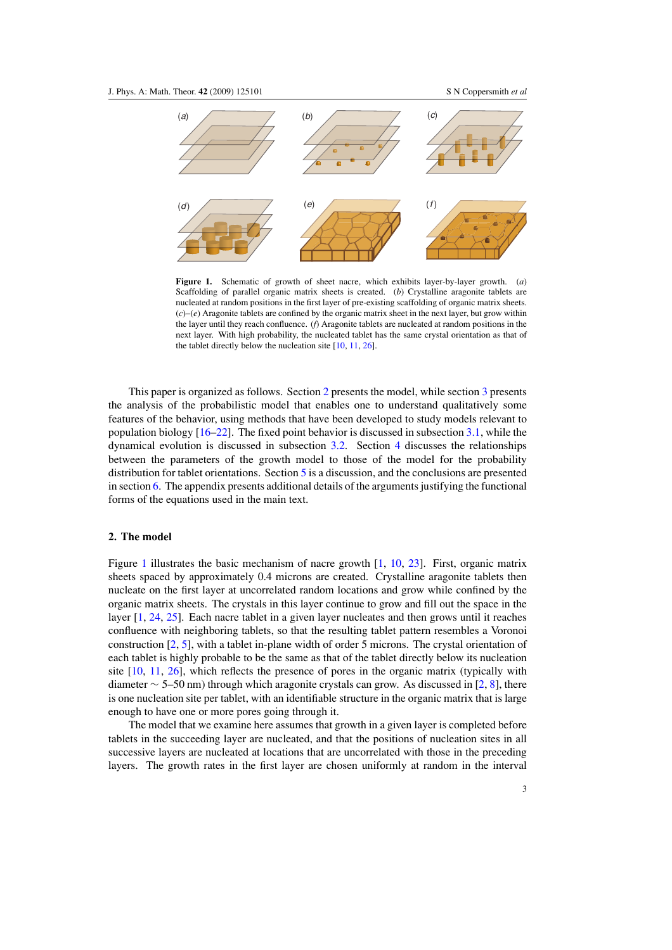

**Figure 1.** Schematic of growth of sheet nacre, which exhibits layer-by-layer growth. (*a*) Scaffolding of parallel organic matrix sheets is created. (*b*) Crystalline aragonite tablets are nucleated at random positions in the first layer of pre-existing scaffolding of organic matrix sheets.  $(c)$ – $(e)$  Aragonite tablets are confined by the organic matrix sheet in the next layer, but grow within the layer until they reach confluence. (*f*) Aragonite tablets are nucleated at random positions in the next layer. With high probability, the nucleated tablet has the same crystal orientation as that of the tablet directly below the nucleation site [\[10](#page-15-0), [11](#page-15-0), [26](#page-15-0)].

This paper is organized as follows. Section 2 presents the model, while section [3](#page-3-0) presents the analysis of the probabilistic model that enables one to understand qualitatively some features of the behavior, using methods that have been developed to study models relevant to population biology  $[16–22]$  $[16–22]$ . The fixed point behavior is discussed in subsection [3.1,](#page-6-0) while the dynamical evolution is discussed in subsection [3.2.](#page-7-0) Section [4](#page-7-0) discusses the relationships between the parameters of the growth model to those of the model for the probability distribution for tablet orientations. Section [5](#page-13-0) is a discussion, and the conclusions are presented in section [6.](#page-13-0) The appendix presents additional details of the arguments justifying the functional forms of the equations used in the main text.

# **2. The model**

Figure 1 illustrates the basic mechanism of nacre growth [\[1,](#page-15-0) [10,](#page-15-0) [23](#page-15-0)]. First, organic matrix sheets spaced by approximately 0.4 microns are created. Crystalline aragonite tablets then nucleate on the first layer at uncorrelated random locations and grow while confined by the organic matrix sheets. The crystals in this layer continue to grow and fill out the space in the layer [\[1,](#page-15-0) [24](#page-15-0), [25](#page-15-0)]. Each nacre tablet in a given layer nucleates and then grows until it reaches confluence with neighboring tablets, so that the resulting tablet pattern resembles a Voronoi construction [\[2,](#page-15-0) [5\]](#page-15-0), with a tablet in-plane width of order 5 microns. The crystal orientation of each tablet is highly probable to be the same as that of the tablet directly below its nucleation site [\[10](#page-15-0), [11](#page-15-0), [26\]](#page-15-0), which reflects the presence of pores in the organic matrix (typically with diameter  $\sim$  5–50 nm) through which aragonite crystals can grow. As discussed in [\[2,](#page-15-0) [8\]](#page-15-0), there is one nucleation site per tablet, with an identifiable structure in the organic matrix that is large enough to have one or more pores going through it.

The model that we examine here assumes that growth in a given layer is completed before tablets in the succeeding layer are nucleated, and that the positions of nucleation sites in all successive layers are nucleated at locations that are uncorrelated with those in the preceding layers. The growth rates in the first layer are chosen uniformly at random in the interval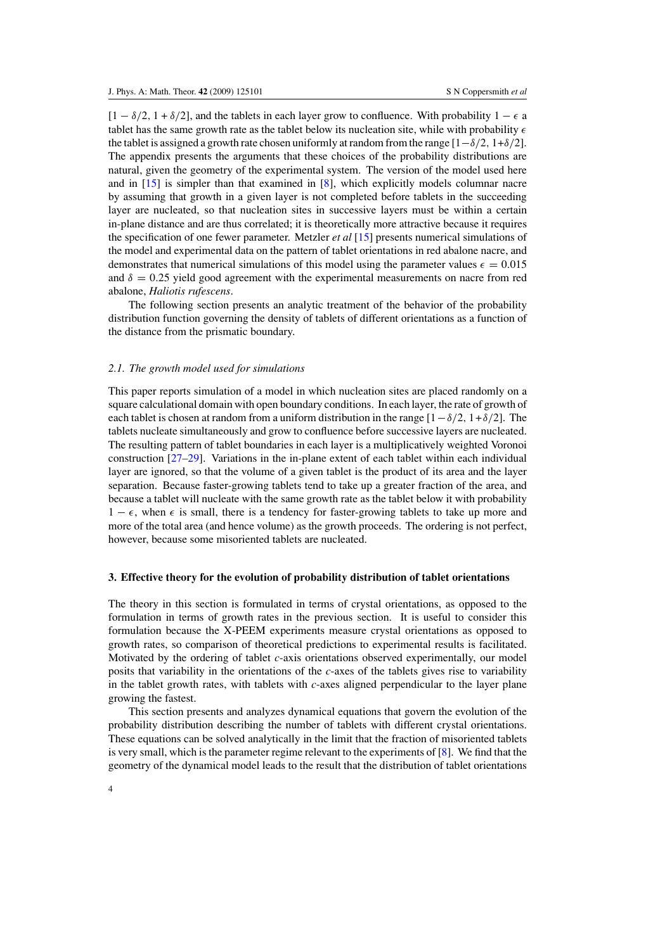<span id="page-3-0"></span> $[1 - \delta/2, 1 + \delta/2]$ , and the tablets in each layer grow to confluence. With probability  $1 - \epsilon$  a tablet has the same growth rate as the tablet below its nucleation site, while with probability  $\epsilon$ the tablet is assigned a growth rate chosen uniformly at random from the range [1−*δ/*2*,* 1+*δ/*2]. The appendix presents the arguments that these choices of the probability distributions are natural, given the geometry of the experimental system. The version of the model used here and in [\[15\]](#page-15-0) is simpler than that examined in [\[8\]](#page-15-0), which explicitly models columnar nacre by assuming that growth in a given layer is not completed before tablets in the succeeding layer are nucleated, so that nucleation sites in successive layers must be within a certain in-plane distance and are thus correlated; it is theoretically more attractive because it requires the specification of one fewer parameter. Metzler *et al* [\[15](#page-15-0)] presents numerical simulations of the model and experimental data on the pattern of tablet orientations in red abalone nacre, and demonstrates that numerical simulations of this model using the parameter values  $\epsilon = 0.015$ and  $\delta = 0.25$  yield good agreement with the experimental measurements on nacre from red abalone, *Haliotis rufescens*.

The following section presents an analytic treatment of the behavior of the probability distribution function governing the density of tablets of different orientations as a function of the distance from the prismatic boundary.

## *2.1. The growth model used for simulations*

This paper reports simulation of a model in which nucleation sites are placed randomly on a square calculational domain with open boundary conditions. In each layer, the rate of growth of each tablet is chosen at random from a uniform distribution in the range [1−*δ/*2*,* 1+*δ/*2]. The tablets nucleate simultaneously and grow to confluence before successive layers are nucleated. The resulting pattern of tablet boundaries in each layer is a multiplicatively weighted Voronoi construction [\[27](#page-15-0)[–29](#page-16-0)]. Variations in the in-plane extent of each tablet within each individual layer are ignored, so that the volume of a given tablet is the product of its area and the layer separation. Because faster-growing tablets tend to take up a greater fraction of the area, and because a tablet will nucleate with the same growth rate as the tablet below it with probability  $1 - \epsilon$ , when  $\epsilon$  is small, there is a tendency for faster-growing tablets to take up more and more of the total area (and hence volume) as the growth proceeds. The ordering is not perfect, however, because some misoriented tablets are nucleated.

# **3. Effective theory for the evolution of probability distribution of tablet orientations**

The theory in this section is formulated in terms of crystal orientations, as opposed to the formulation in terms of growth rates in the previous section. It is useful to consider this formulation because the X-PEEM experiments measure crystal orientations as opposed to growth rates, so comparison of theoretical predictions to experimental results is facilitated. Motivated by the ordering of tablet *c*-axis orientations observed experimentally, our model posits that variability in the orientations of the *c*-axes of the tablets gives rise to variability in the tablet growth rates, with tablets with *c*-axes aligned perpendicular to the layer plane growing the fastest.

This section presents and analyzes dynamical equations that govern the evolution of the probability distribution describing the number of tablets with different crystal orientations. These equations can be solved analytically in the limit that the fraction of misoriented tablets is very small, which is the parameter regime relevant to the experiments of  $[8]$  $[8]$ . We find that the geometry of the dynamical model leads to the result that the distribution of tablet orientations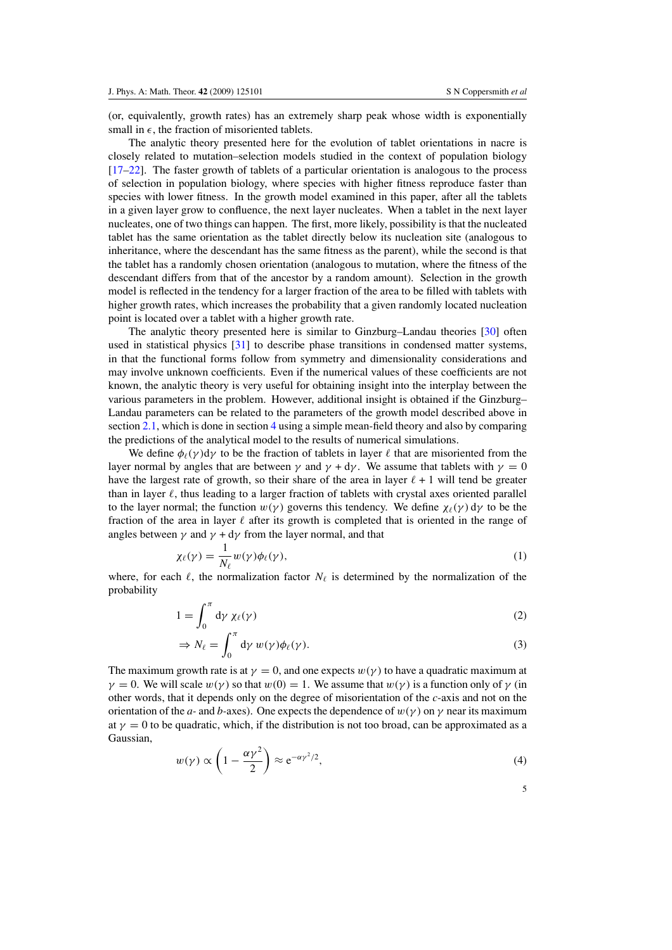<span id="page-4-0"></span>(or, equivalently, growth rates) has an extremely sharp peak whose width is exponentially small in  $\epsilon$ , the fraction of misoriented tablets.

The analytic theory presented here for the evolution of tablet orientations in nacre is closely related to mutation–selection models studied in the context of population biology [\[17–22](#page-15-0)]. The faster growth of tablets of a particular orientation is analogous to the process of selection in population biology, where species with higher fitness reproduce faster than species with lower fitness. In the growth model examined in this paper, after all the tablets in a given layer grow to confluence, the next layer nucleates. When a tablet in the next layer nucleates, one of two things can happen. The first, more likely, possibility is that the nucleated tablet has the same orientation as the tablet directly below its nucleation site (analogous to inheritance, where the descendant has the same fitness as the parent), while the second is that the tablet has a randomly chosen orientation (analogous to mutation, where the fitness of the descendant differs from that of the ancestor by a random amount). Selection in the growth model is reflected in the tendency for a larger fraction of the area to be filled with tablets with higher growth rates, which increases the probability that a given randomly located nucleation point is located over a tablet with a higher growth rate.

The analytic theory presented here is similar to Ginzburg–Landau theories [\[30\]](#page-16-0) often used in statistical physics [\[31](#page-16-0)] to describe phase transitions in condensed matter systems, in that the functional forms follow from symmetry and dimensionality considerations and may involve unknown coefficients. Even if the numerical values of these coefficients are not known, the analytic theory is very useful for obtaining insight into the interplay between the various parameters in the problem. However, additional insight is obtained if the Ginzburg– Landau parameters can be related to the parameters of the growth model described above in section [2.1,](#page-3-0) which is done in section [4](#page-7-0) using a simple mean-field theory and also by comparing the predictions of the analytical model to the results of numerical simulations.

We define  $\phi_{\ell}(\gamma) d\gamma$  to be the fraction of tablets in layer  $\ell$  that are misoriented from the layer normal by angles that are between *γ* and  $\gamma + d\gamma$ . We assume that tablets with  $\gamma = 0$ have the largest rate of growth, so their share of the area in layer  $\ell + 1$  will tend be greater than in layer  $\ell$ , thus leading to a larger fraction of tablets with crystal axes oriented parallel to the layer normal; the function  $w(\gamma)$  governs this tendency. We define  $\chi_{\ell}(\gamma) d\gamma$  to be the fraction of the area in layer  $\ell$  after its growth is completed that is oriented in the range of angles between  $\gamma$  and  $\gamma$  + d $\gamma$  from the layer normal, and that

$$
\chi_{\ell}(\gamma) = \frac{1}{N_{\ell}} w(\gamma) \phi_{\ell}(\gamma), \tag{1}
$$

where, for each  $\ell$ , the normalization factor  $N_{\ell}$  is determined by the normalization of the probability

$$
1 = \int_0^{\pi} d\gamma \ \chi_{\ell}(\gamma) \tag{2}
$$

$$
\Rightarrow N_{\ell} = \int_0^{\pi} d\gamma \ w(\gamma) \phi_{\ell}(\gamma). \tag{3}
$$

The maximum growth rate is at  $\gamma = 0$ , and one expects  $w(\gamma)$  to have a quadratic maximum at  $\gamma = 0$ . We will scale  $w(\gamma)$  so that  $w(0) = 1$ . We assume that  $w(\gamma)$  is a function only of  $\gamma$  (in other words, that it depends only on the degree of misorientation of the *c*-axis and not on the orientation of the *a-* and *b-*axes). One expects the dependence of *w(γ )* on *γ* near its maximum at  $\gamma = 0$  to be quadratic, which, if the distribution is not too broad, can be approximated as a Gaussian,

$$
w(\gamma) \propto \left(1 - \frac{\alpha \gamma^2}{2}\right) \approx e^{-\alpha \gamma^2/2},\tag{4}
$$

5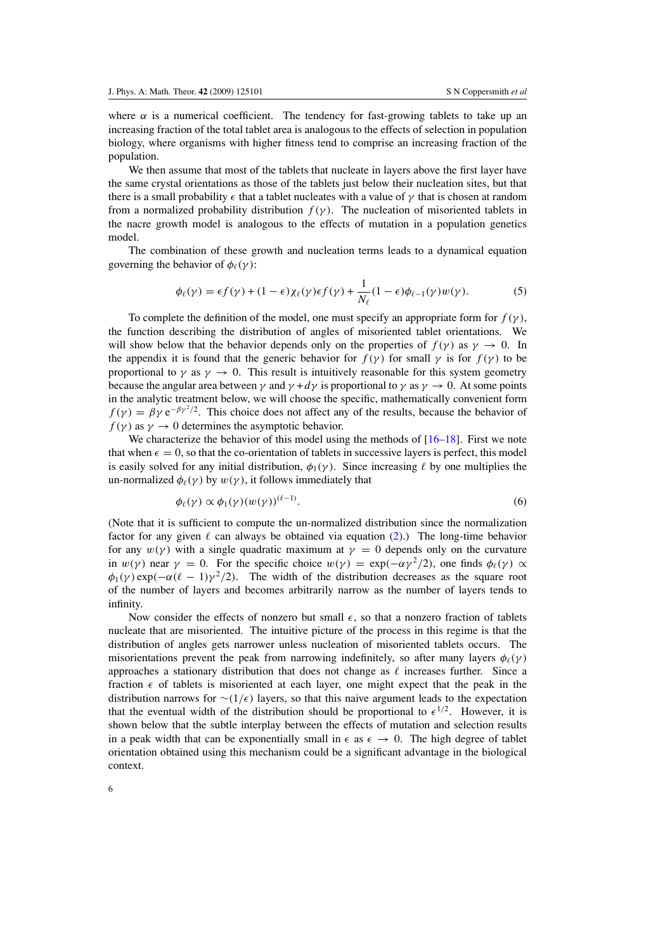<span id="page-5-0"></span>where  $\alpha$  is a numerical coefficient. The tendency for fast-growing tablets to take up an increasing fraction of the total tablet area is analogous to the effects of selection in population biology, where organisms with higher fitness tend to comprise an increasing fraction of the population.

We then assume that most of the tablets that nucleate in layers above the first layer have the same crystal orientations as those of the tablets just below their nucleation sites, but that there is a small probability  $\epsilon$  that a tablet nucleates with a value of  $\gamma$  that is chosen at random from a normalized probability distribution  $f(\gamma)$ . The nucleation of misoriented tablets in the nacre growth model is analogous to the effects of mutation in a population genetics model.

The combination of these growth and nucleation terms leads to a dynamical equation governing the behavior of  $\phi_{\ell}(\gamma)$ :

$$
\phi_{\ell}(\gamma) = \epsilon f(\gamma) + (1 - \epsilon) \chi_{\ell}(\gamma) \epsilon f(\gamma) + \frac{1}{N_{\ell}} (1 - \epsilon) \phi_{\ell-1}(\gamma) w(\gamma).
$$
 (5)

To complete the definition of the model, one must specify an appropriate form for  $f(\gamma)$ , the function describing the distribution of angles of misoriented tablet orientations. We will show below that the behavior depends only on the properties of  $f(\gamma)$  as  $\gamma \to 0$ . In the appendix it is found that the generic behavior for  $f(\gamma)$  for small  $\gamma$  is for  $f(\gamma)$  to be proportional to *γ* as  $\gamma \to 0$ . This result is intuitively reasonable for this system geometry because the angular area between *γ* and  $\gamma + d\gamma$  is proportional to *γ* as  $\gamma \to 0$ . At some points in the analytic treatment below, we will choose the specific, mathematically convenient form  $f(\gamma) = \beta \gamma e^{-\beta \gamma^2/2}$ . This choice does not affect any of the results, because the behavior of  $f(\gamma)$  as  $\gamma \to 0$  determines the asymptotic behavior.

We characterize the behavior of this model using the methods of [\[16–18\]](#page-15-0). First we note that when  $\epsilon = 0$ , so that the co-orientation of tablets in successive layers is perfect, this model is easily solved for any initial distribution,  $\phi_1(\gamma)$ . Since increasing  $\ell$  by one multiplies the un-normalized  $\phi_{\ell}(\gamma)$  by  $w(\gamma)$ , it follows immediately that

$$
\phi_{\ell}(\gamma) \propto \phi_1(\gamma) (w(\gamma))^{(\ell-1)}.
$$
\n(6)

(Note that it is sufficient to compute the un-normalized distribution since the normalization factor for any given  $\ell$  can always be obtained via equation [\(2\)](#page-4-0).) The long-time behavior for any  $w(y)$  with a single quadratic maximum at  $\gamma = 0$  depends only on the curvature in  $w(\gamma)$  near  $\gamma = 0$ . For the specific choice  $w(\gamma) = \exp(-\alpha \gamma^2/2)$ , one finds  $\phi_{\ell}(\gamma) \propto$  $\phi_1(\gamma)$  exp $(-\alpha(\ell-1)\gamma^2/2)$ . The width of the distribution decreases as the square root of the number of layers and becomes arbitrarily narrow as the number of layers tends to infinity.

Now consider the effects of nonzero but small  $\epsilon$ , so that a nonzero fraction of tablets nucleate that are misoriented. The intuitive picture of the process in this regime is that the distribution of angles gets narrower unless nucleation of misoriented tablets occurs. The misorientations prevent the peak from narrowing indefinitely, so after many layers  $\phi_{\ell}(\gamma)$ approaches a stationary distribution that does not change as  $\ell$  increases further. Since a fraction  $\epsilon$  of tablets is misoriented at each layer, one might expect that the peak in the distribution narrows for ∼*(*1*/)* layers, so that this naive argument leads to the expectation that the eventual width of the distribution should be proportional to  $\epsilon^{1/2}$ . However, it is shown below that the subtle interplay between the effects of mutation and selection results in a peak width that can be exponentially small in  $\epsilon$  as  $\epsilon \to 0$ . The high degree of tablet orientation obtained using this mechanism could be a significant advantage in the biological context.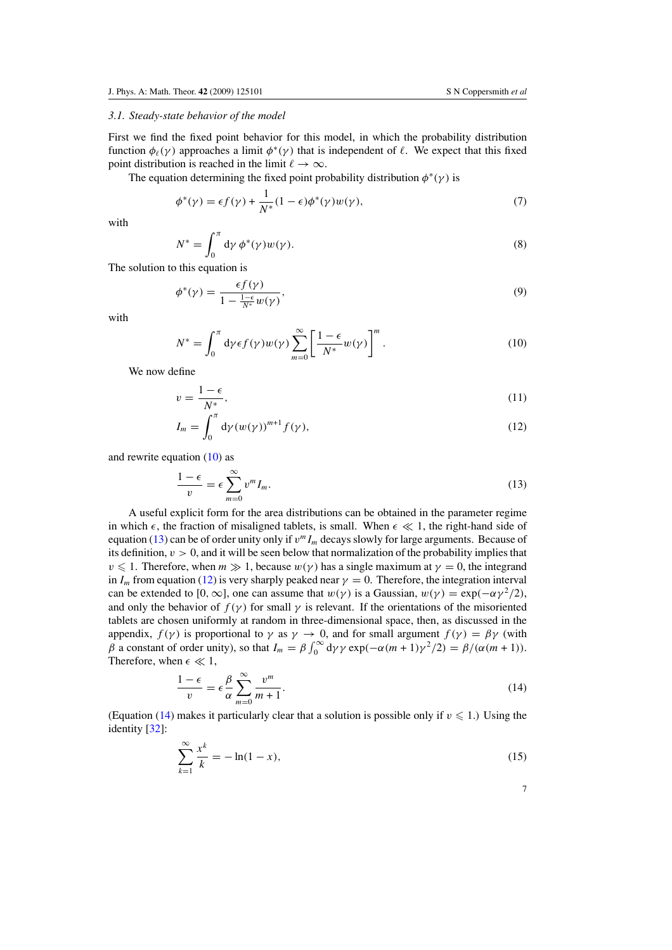#### <span id="page-6-0"></span>*3.1. Steady-state behavior of the model*

First we find the fixed point behavior for this model, in which the probability distribution function  $\phi_{\ell}(\gamma)$  approaches a limit  $\phi^*(\gamma)$  that is independent of  $\ell$ . We expect that this fixed point distribution is reached in the limit  $\ell \to \infty$ .

The equation determining the fixed point probability distribution  $\phi^*(\gamma)$  is

$$
\phi^*(\gamma) = \epsilon f(\gamma) + \frac{1}{N^*} (1 - \epsilon) \phi^*(\gamma) w(\gamma),\tag{7}
$$

with

$$
N^* = \int_0^\pi \mathrm{d}\gamma \, \phi^*(\gamma) w(\gamma). \tag{8}
$$

The solution to this equation is

$$
\phi^*(\gamma) = \frac{\epsilon f(\gamma)}{1 - \frac{1-\epsilon}{N^*}w(\gamma)},\tag{9}
$$

with

$$
N^* = \int_0^\pi \mathrm{d}\gamma \epsilon f(\gamma) w(\gamma) \sum_{m=0}^\infty \left[ \frac{1-\epsilon}{N^*} w(\gamma) \right]^m.
$$
 (10)

We now define

$$
v = \frac{1 - \epsilon}{N^*},\tag{11}
$$

$$
I_m = \int_0^\pi \mathrm{d}\gamma (w(\gamma))^{m+1} f(\gamma),\tag{12}
$$

and rewrite equation  $(10)$  as

$$
\frac{1-\epsilon}{v} = \epsilon \sum_{m=0}^{\infty} v^m I_m.
$$
\n(13)

A useful explicit form for the area distributions can be obtained in the parameter regime in which  $\epsilon$ , the fraction of misaligned tablets, is small. When  $\epsilon \ll 1$ , the right-hand side of equation (13) can be of order unity only if  $v^m I_m$  decays slowly for large arguments. Because of its definition,  $v > 0$ , and it will be seen below that normalization of the probability implies that *v*  $\leq$  1. Therefore, when *m*  $\gg$  1, because *w*( $\gamma$ ) has a single maximum at  $\gamma$  = 0, the integrand in *I<sub>m</sub>* from equation (12) is very sharply peaked near  $\gamma = 0$ . Therefore, the integration interval can be extended to [0, ∞], one can assume that  $w(\gamma)$  is a Gaussian,  $w(\gamma) = \exp(-\alpha \gamma^2/2)$ , and only the behavior of  $f(\gamma)$  for small  $\gamma$  is relevant. If the orientations of the misoriented tablets are chosen uniformly at random in three-dimensional space, then, as discussed in the appendix,  $f(\gamma)$  is proportional to  $\gamma$  as  $\gamma \to 0$ , and for small argument  $f(\gamma) = \beta \gamma$  (with *β* a constant of order unity), so that  $I_m = \beta \int_0^\infty d\gamma \gamma \exp(-\alpha(m+1)\gamma^2/2) = \beta/(\alpha(m+1))$ . Therefore, when  $\epsilon \ll 1$ ,

$$
\frac{1-\epsilon}{v} = \epsilon \frac{\beta}{\alpha} \sum_{m=0}^{\infty} \frac{v^m}{m+1}.
$$
\n(14)

(Equation (14) makes it particularly clear that a solution is possible only if  $v \leq 1$ .) Using the identity [\[32](#page-16-0)]:

$$
\sum_{k=1}^{\infty} \frac{x^k}{k} = -\ln(1-x),
$$
\n(15)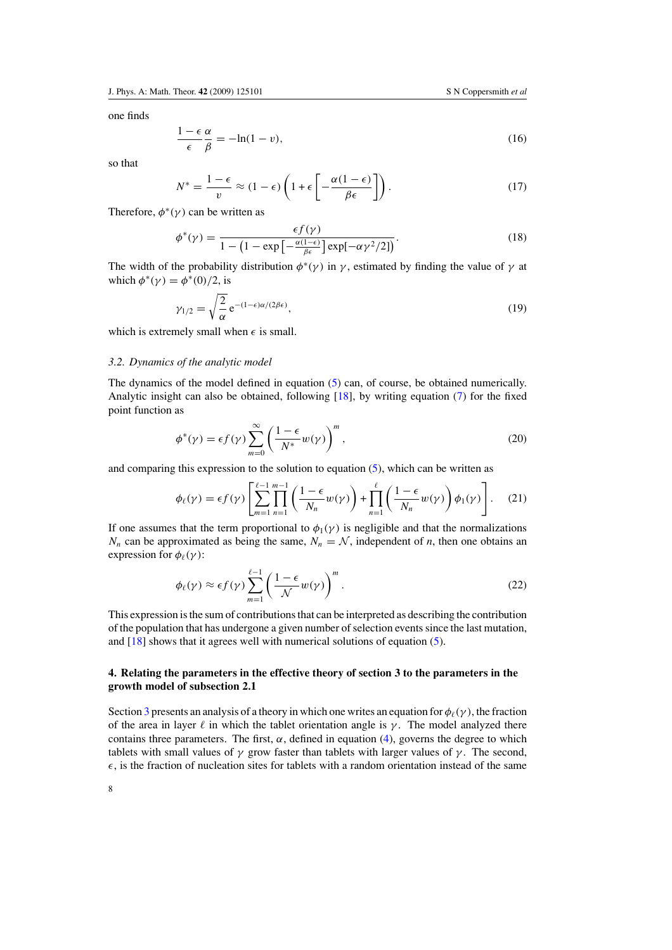<span id="page-7-0"></span>one finds

$$
\frac{1-\epsilon}{\epsilon} \frac{\alpha}{\beta} = -\ln(1-v),\tag{16}
$$

so that

$$
N^* = \frac{1 - \epsilon}{v} \approx (1 - \epsilon) \left( 1 + \epsilon \left[ -\frac{\alpha (1 - \epsilon)}{\beta \epsilon} \right] \right). \tag{17}
$$

Therefore,  $\phi^*(\gamma)$  can be written as

$$
\phi^*(\gamma) = \frac{\epsilon f(\gamma)}{1 - \left(1 - \exp\left[-\frac{\alpha(1-\epsilon)}{\beta \epsilon}\right] \exp[-\alpha \gamma^2/2]\right)}.\tag{18}
$$

The width of the probability distribution  $\phi^*(\gamma)$  in  $\gamma$ , estimated by finding the value of  $\gamma$  at which  $\phi^*(\gamma) = \phi^*(0)/2$ , is

$$
\gamma_{1/2} = \sqrt{\frac{2}{\alpha}} e^{-(1-\epsilon)\alpha/(2\beta\epsilon)},\tag{19}
$$

which is extremely small when  $\epsilon$  is small.

### *3.2. Dynamics of the analytic model*

The dynamics of the model defined in equation [\(5\)](#page-5-0) can, of course, be obtained numerically. Analytic insight can also be obtained, following  $[18]$ , by writing equation [\(7\)](#page-6-0) for the fixed point function as

$$
\phi^*(\gamma) = \epsilon f(\gamma) \sum_{m=0}^{\infty} \left( \frac{1 - \epsilon}{N^*} w(\gamma) \right)^m,
$$
\n(20)

and comparing this expression to the solution to equation  $(5)$ , which can be written as

$$
\phi_{\ell}(\gamma) = \epsilon f(\gamma) \left[ \sum_{m=1}^{\ell-1} \prod_{n=1}^{m-1} \left( \frac{1-\epsilon}{N_n} w(\gamma) \right) + \prod_{n=1}^{\ell} \left( \frac{1-\epsilon}{N_n} w(\gamma) \right) \phi_1(\gamma) \right].
$$
 (21)

If one assumes that the term proportional to  $\phi_1(\gamma)$  is negligible and that the normalizations  $N_n$  can be approximated as being the same,  $N_n = \mathcal{N}$ , independent of *n*, then one obtains an expression for  $\phi_{\ell}(\gamma)$ :

$$
\phi_{\ell}(\gamma) \approx \epsilon f(\gamma) \sum_{m=1}^{\ell-1} \left( \frac{1-\epsilon}{\mathcal{N}} w(\gamma) \right)^m.
$$
\n(22)

This expression is the sum of contributions that can be interpreted as describing the contribution of the population that has undergone a given number of selection events since the last mutation, and [\[18](#page-15-0)] shows that it agrees well with numerical solutions of equation [\(5\)](#page-5-0).

# **4. Relating the parameters in the effective theory of section 3 to the parameters in the growth model of subsection 2.1**

Section [3](#page-3-0) presents an analysis of a theory in which one writes an equation for  $\phi_{\ell}(\gamma)$ , the fraction of the area in layer  $\ell$  in which the tablet orientation angle is  $\gamma$ . The model analyzed there contains three parameters. The first,  $\alpha$ , defined in equation [\(4\)](#page-4-0), governs the degree to which tablets with small values of  $\gamma$  grow faster than tablets with larger values of  $\gamma$ . The second,  $\epsilon$ , is the fraction of nucleation sites for tablets with a random orientation instead of the same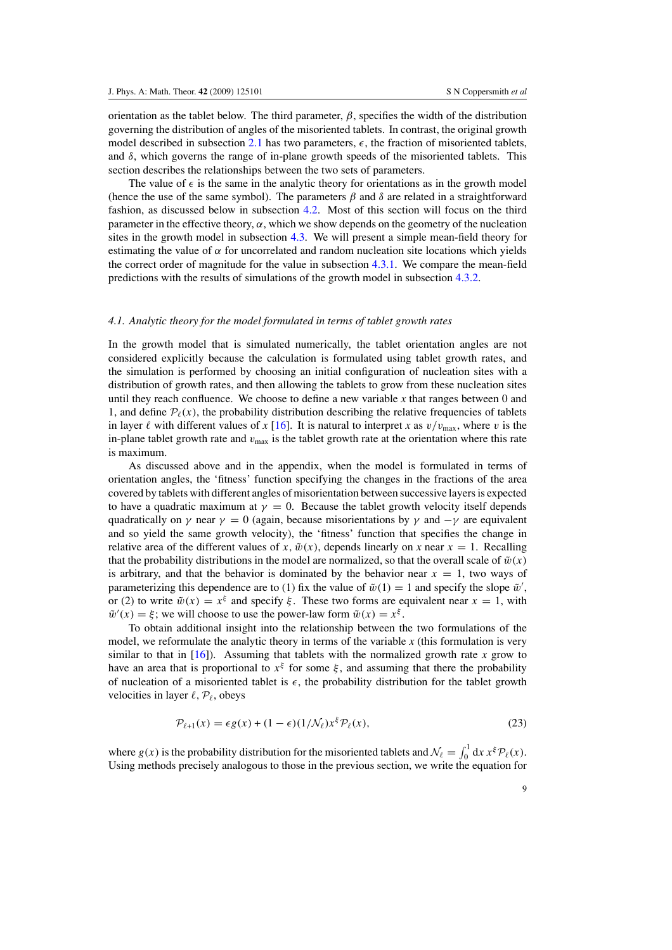<span id="page-8-0"></span>orientation as the tablet below. The third parameter,  $\beta$ , specifies the width of the distribution governing the distribution of angles of the misoriented tablets. In contrast, the original growth model described in subsection [2.1](#page-3-0) has two parameters,  $\epsilon$ , the fraction of misoriented tablets, and  $\delta$ , which governs the range of in-plane growth speeds of the misoriented tablets. This section describes the relationships between the two sets of parameters.

The value of  $\epsilon$  is the same in the analytic theory for orientations as in the growth model (hence the use of the same symbol). The parameters  $\beta$  and  $\delta$  are related in a straightforward fashion, as discussed below in subsection [4.2.](#page-9-0) Most of this section will focus on the third parameter in the effective theory,  $\alpha$ , which we show depends on the geometry of the nucleation sites in the growth model in subsection [4.3.](#page-10-0) We will present a simple mean-field theory for estimating the value of  $\alpha$  for uncorrelated and random nucleation site locations which yields the correct order of magnitude for the value in subsection [4.3.1.](#page-10-0) We compare the mean-field predictions with the results of simulations of the growth model in subsection [4.3.2.](#page-11-0)

# *4.1. Analytic theory for the model formulated in terms of tablet growth rates*

In the growth model that is simulated numerically, the tablet orientation angles are not considered explicitly because the calculation is formulated using tablet growth rates, and the simulation is performed by choosing an initial configuration of nucleation sites with a distribution of growth rates, and then allowing the tablets to grow from these nucleation sites until they reach confluence. We choose to define a new variable *x* that ranges between 0 and 1, and define  $\mathcal{P}_{\ell}(x)$ , the probability distribution describing the relative frequencies of tablets in layer  $\ell$  with different values of *x* [\[16](#page-15-0)]. It is natural to interpret *x* as  $v/v_{\text{max}}$ , where *v* is the in-plane tablet growth rate and  $v_{\text{max}}$  is the tablet growth rate at the orientation where this rate is maximum.

As discussed above and in the appendix, when the model is formulated in terms of orientation angles, the 'fitness' function specifying the changes in the fractions of the area covered by tablets with different angles of misorientation between successive layers is expected to have a quadratic maximum at  $\gamma = 0$ . Because the tablet growth velocity itself depends quadratically on  $\gamma$  near  $\gamma = 0$  (again, because misorientations by  $\gamma$  and  $-\gamma$  are equivalent and so yield the same growth velocity), the 'fitness' function that specifies the change in relative area of the different values of *x*,  $\tilde{w}(x)$ , depends linearly on *x* near  $x = 1$ . Recalling that the probability distributions in the model are normalized, so that the overall scale of  $\tilde{w}(x)$ is arbitrary, and that the behavior is dominated by the behavior near  $x = 1$ , two ways of parameterizing this dependence are to (1) fix the value of  $\tilde{w}(1) = 1$  and specify the slope  $\tilde{w}'$ , or (2) to write  $\tilde{w}(x) = x^{\xi}$  and specify  $\xi$ . These two forms are equivalent near  $x = 1$ , with  $\tilde{w}'(x) = \xi$ ; we will choose to use the power-law form  $\tilde{w}(x) = x^{\xi}$ .

To obtain additional insight into the relationship between the two formulations of the model, we reformulate the analytic theory in terms of the variable *x* (this formulation is very similar to that in  $[16]$  $[16]$ ). Assuming that tablets with the normalized growth rate *x* grow to have an area that is proportional to  $x^{\xi}$  for some  $\xi$ , and assuming that there the probability of nucleation of a misoriented tablet is  $\epsilon$ , the probability distribution for the tablet growth velocities in layer  $\ell$ ,  $\mathcal{P}_{\ell}$ , obeys

$$
\mathcal{P}_{\ell+1}(x) = \epsilon g(x) + (1 - \epsilon)(1/\mathcal{N}_{\ell})x^{\xi} \mathcal{P}_{\ell}(x),\tag{23}
$$

where  $g(x)$  is the probability distribution for the misoriented tablets and  $\mathcal{N}_{\ell} = \int_0^1 dx \, x^{\xi} \mathcal{P}_{\ell}(x)$ . Using methods precisely analogous to those in the previous section, we write the equation for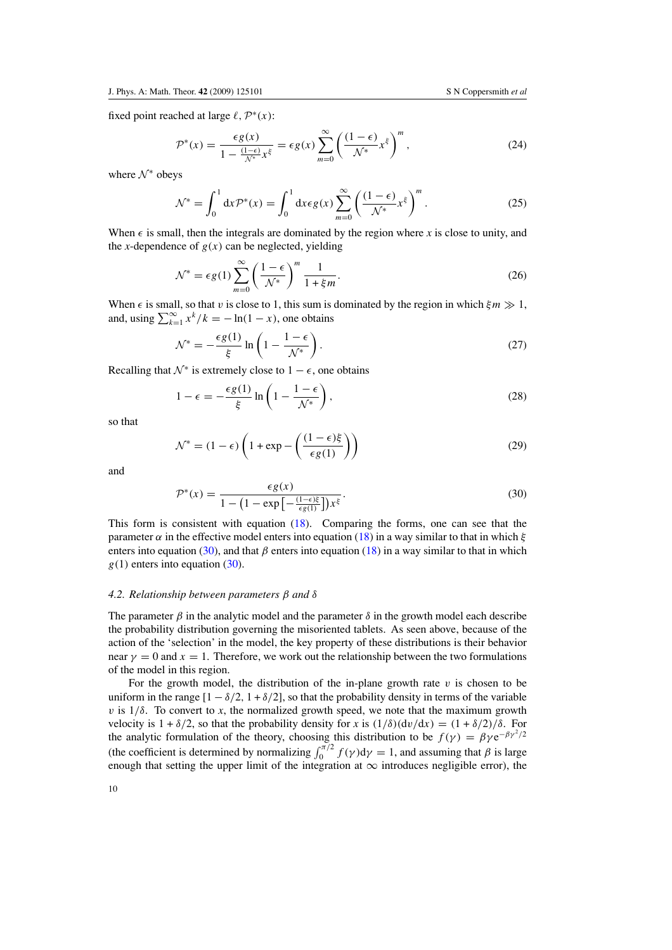<span id="page-9-0"></span>fixed point reached at large  $\ell, \mathcal{P}^*(x)$ :

$$
\mathcal{P}^*(x) = \frac{\epsilon g(x)}{1 - \frac{(1 - \epsilon)}{\mathcal{N}^*} x^{\xi}} = \epsilon g(x) \sum_{m=0}^{\infty} \left( \frac{(1 - \epsilon)}{\mathcal{N}^*} x^{\xi} \right)^m,
$$
\n(24)

where  $\mathcal{N}^*$  obeys

$$
\mathcal{N}^* = \int_0^1 dx \mathcal{P}^*(x) = \int_0^1 dx \epsilon g(x) \sum_{m=0}^\infty \left( \frac{(1-\epsilon)}{\mathcal{N}^*} x^{\xi} \right)^m.
$$
 (25)

When  $\epsilon$  is small, then the integrals are dominated by the region where *x* is close to unity, and the *x*-dependence of  $g(x)$  can be neglected, yielding

$$
\mathcal{N}^* = \epsilon g(1) \sum_{m=0}^{\infty} \left( \frac{1 - \epsilon}{\mathcal{N}^*} \right)^m \frac{1}{1 + \xi m}.
$$
 (26)

When  $\epsilon$  is small, so that *v* is close to 1, this sum is dominated by the region in which  $\xi m \gg 1$ , and, using  $\sum_{k=1}^{\infty} x^k/k = -\ln(1-x)$ , one obtains

$$
\mathcal{N}^* = -\frac{\epsilon g(1)}{\xi} \ln \left( 1 - \frac{1 - \epsilon}{\mathcal{N}^*} \right). \tag{27}
$$

Recalling that  $\mathcal{N}^*$  is extremely close to  $1 - \epsilon$ , one obtains

$$
1 - \epsilon = -\frac{\epsilon g(1)}{\xi} \ln \left( 1 - \frac{1 - \epsilon}{\mathcal{N}^*} \right),\tag{28}
$$

so that

$$
\mathcal{N}^* = (1 - \epsilon) \left( 1 + \exp\left( \frac{(1 - \epsilon)\xi}{\epsilon g(1)} \right) \right)
$$
 (29)

and

$$
\mathcal{P}^*(x) = \frac{\epsilon g(x)}{1 - \left(1 - \exp\left[-\frac{(1-\epsilon)\xi}{\epsilon g(1)}\right]\right)x^{\xi}}.\tag{30}
$$

This form is consistent with equation [\(18\)](#page-7-0). Comparing the forms, one can see that the parameter *α* in the effective model enters into equation [\(18\)](#page-7-0) in a way similar to that in which *ξ* enters into equation (30), and that *β* enters into equation [\(18\)](#page-7-0) in a way similar to that in which  $g(1)$  enters into equation  $(30)$ .

#### *4.2. Relationship between parameters β and δ*

The parameter  $\beta$  in the analytic model and the parameter  $\delta$  in the growth model each describe the probability distribution governing the misoriented tablets. As seen above, because of the action of the 'selection' in the model, the key property of these distributions is their behavior near  $\gamma = 0$  and  $x = 1$ . Therefore, we work out the relationship between the two formulations of the model in this region.

For the growth model, the distribution of the in-plane growth rate  $v$  is chosen to be uniform in the range  $[1 - \delta/2, 1 + \delta/2]$ , so that the probability density in terms of the variable *v* is  $1/\delta$ . To convert to *x*, the normalized growth speed, we note that the maximum growth velocity is  $1 + \delta/2$ , so that the probability density for *x* is  $(1/\delta)(dv/dx) = (1 + \delta/2)/\delta$ . For the analytic formulation of the theory, choosing this distribution to be  $f(\gamma) = \beta \gamma e^{-\beta \gamma^2/2}$ (the coefficient is determined by normalizing  $\int_0^{\pi/2} f(\gamma) d\gamma = 1$ , and assuming that  $\beta$  is large enough that setting the upper limit of the integration at  $\infty$  introduces negligible error), the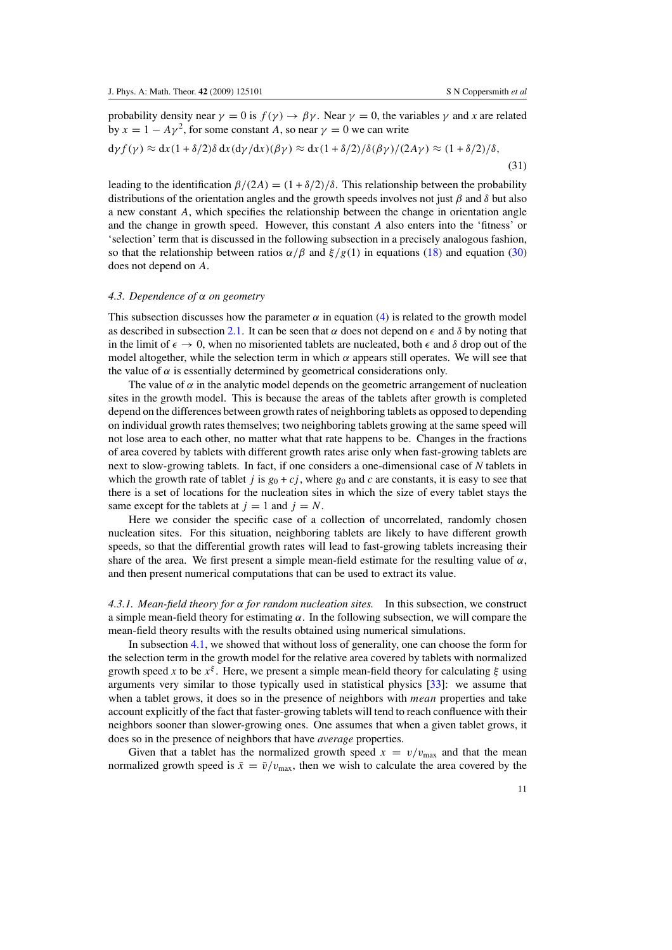<span id="page-10-0"></span>probability density near  $\gamma = 0$  is  $f(\gamma) \to \beta \gamma$ . Near  $\gamma = 0$ , the variables  $\gamma$  and x are related by  $x = 1 - A\gamma^2$ , for some constant *A*, so near  $\gamma = 0$  we can write

$$
d\gamma f(\gamma) \approx dx(1 + \delta/2)\delta dx (d\gamma/dx)(\beta\gamma) \approx dx(1 + \delta/2)/\delta(\beta\gamma)/(2A\gamma) \approx (1 + \delta/2)/\delta,
$$
\n(31)

leading to the identification *β/(*2*A)* = *(*1 + *δ/*2*)/δ*. This relationship between the probability distributions of the orientation angles and the growth speeds involves not just *β* and *δ* but also a new constant *A*, which specifies the relationship between the change in orientation angle and the change in growth speed. However, this constant *A* also enters into the 'fitness' or 'selection' term that is discussed in the following subsection in a precisely analogous fashion, so that the relationship between ratios  $\alpha/\beta$  and  $\xi/g(1)$  in equations [\(18\)](#page-7-0) and equation [\(30\)](#page-9-0) does not depend on *A*.

#### *4.3. Dependence of α on geometry*

This subsection discusses how the parameter  $\alpha$  in equation [\(4\)](#page-4-0) is related to the growth model as described in subsection [2.1.](#page-3-0) It can be seen that  $\alpha$  does not depend on  $\epsilon$  and  $\delta$  by noting that in the limit of  $\epsilon \to 0$ , when no misoriented tablets are nucleated, both  $\epsilon$  and  $\delta$  drop out of the model altogether, while the selection term in which  $\alpha$  appears still operates. We will see that the value of  $\alpha$  is essentially determined by geometrical considerations only.

The value of  $\alpha$  in the analytic model depends on the geometric arrangement of nucleation sites in the growth model. This is because the areas of the tablets after growth is completed depend on the differences between growth rates of neighboring tablets as opposed to depending on individual growth rates themselves; two neighboring tablets growing at the same speed will not lose area to each other, no matter what that rate happens to be. Changes in the fractions of area covered by tablets with different growth rates arise only when fast-growing tablets are next to slow-growing tablets. In fact, if one considers a one-dimensional case of *N* tablets in which the growth rate of tablet *j* is  $g_0 + cj$ , where  $g_0$  and *c* are constants, it is easy to see that there is a set of locations for the nucleation sites in which the size of every tablet stays the same except for the tablets at  $j = 1$  and  $j = N$ .

Here we consider the specific case of a collection of uncorrelated, randomly chosen nucleation sites. For this situation, neighboring tablets are likely to have different growth speeds, so that the differential growth rates will lead to fast-growing tablets increasing their share of the area. We first present a simple mean-field estimate for the resulting value of  $\alpha$ , and then present numerical computations that can be used to extract its value.

*4.3.1. Mean-field theory for α for random nucleation sites.* In this subsection, we construct a simple mean-field theory for estimating  $\alpha$ . In the following subsection, we will compare the mean-field theory results with the results obtained using numerical simulations.

In subsection [4.1,](#page-8-0) we showed that without loss of generality, one can choose the form for the selection term in the growth model for the relative area covered by tablets with normalized growth speed *x* to be  $x^{\xi}$ . Here, we present a simple mean-field theory for calculating  $\xi$  using arguments very similar to those typically used in statistical physics [\[33\]](#page-16-0): we assume that when a tablet grows, it does so in the presence of neighbors with *mean* properties and take account explicitly of the fact that faster-growing tablets will tend to reach confluence with their neighbors sooner than slower-growing ones. One assumes that when a given tablet grows, it does so in the presence of neighbors that have *average* properties.

Given that a tablet has the normalized growth speed  $x = v/v_{\text{max}}$  and that the mean normalized growth speed is  $\bar{x} = \bar{v}/v_{\text{max}}$ , then we wish to calculate the area covered by the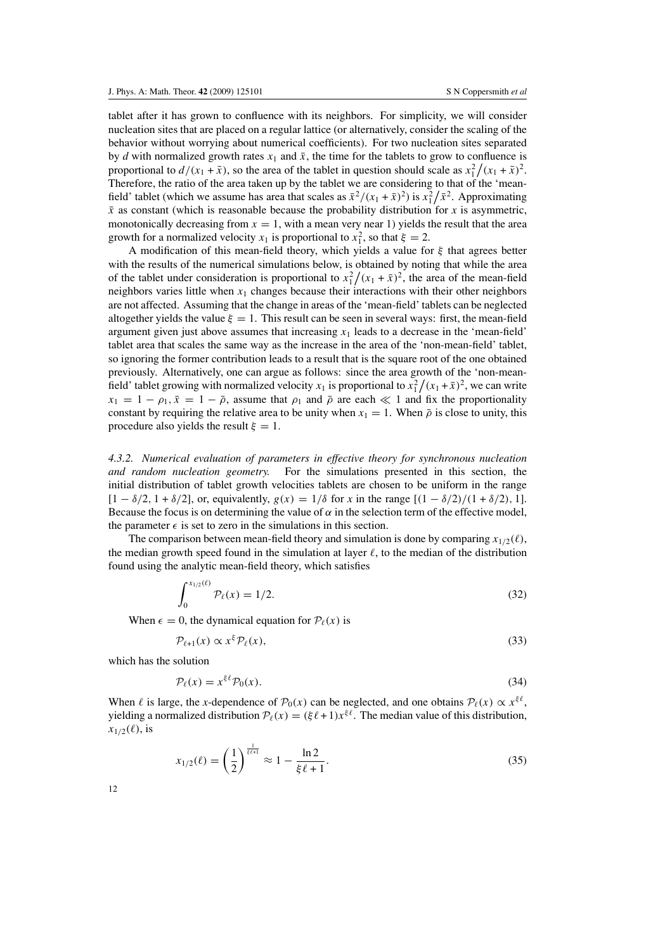<span id="page-11-0"></span>tablet after it has grown to confluence with its neighbors. For simplicity, we will consider nucleation sites that are placed on a regular lattice (or alternatively, consider the scaling of the behavior without worrying about numerical coefficients). For two nucleation sites separated by *d* with normalized growth rates  $x_1$  and  $\bar{x}$ , the time for the tablets to grow to confluence is proportional to  $d/(x_1 + \bar{x})$ , so the area of the tablet in question should scale as  $x_1^2/(x_1 + \bar{x})^2$ . Therefore, the ratio of the area taken up by the tablet we are considering to that of the 'meanfield' tablet (which we assume has area that scales as  $\bar{x}^2/(x_1 + \bar{x})^2$ ) is  $x_1^2/\bar{x}^2$ . Approximating  $\bar{x}$  as constant (which is reasonable because the probability distribution for *x* is asymmetric, monotonically decreasing from  $x = 1$ , with a mean very near 1) yields the result that the area growth for a normalized velocity  $x_1$  is proportional to  $x_1^2$ , so that  $\xi = 2$ .

A modification of this mean-field theory, which yields a value for *ξ* that agrees better with the results of the numerical simulations below, is obtained by noting that while the area of the tablet under consideration is proportional to  $x_1^2/(x_1 + \bar{x})^2$ , the area of the mean-field neighbors varies little when *x*<sup>1</sup> changes because their interactions with their other neighbors are not affected. Assuming that the change in areas of the 'mean-field' tablets can be neglected altogether yields the value  $\xi = 1$ . This result can be seen in several ways: first, the mean-field argument given just above assumes that increasing  $x_1$  leads to a decrease in the 'mean-field' tablet area that scales the same way as the increase in the area of the 'non-mean-field' tablet, so ignoring the former contribution leads to a result that is the square root of the one obtained previously. Alternatively, one can argue as follows: since the area growth of the 'non-meanfield' tablet growing with normalized velocity  $x_1$  is proportional to  $x_1^2/(x_1 + \bar{x})^2$ , we can write  $x_1 = 1 - \rho_1$ ,  $\bar{x} = 1 - \bar{\rho}$ , assume that  $\rho_1$  and  $\bar{\rho}$  are each  $\ll 1$  and fix the proportionality constant by requiring the relative area to be unity when  $x_1 = 1$ . When  $\bar{\rho}$  is close to unity, this procedure also yields the result  $\xi = 1$ .

*4.3.2. Numerical evaluation of parameters in effective theory for synchronous nucleation and random nucleation geometry.* For the simulations presented in this section, the initial distribution of tablet growth velocities tablets are chosen to be uniform in the range  $[1 - \delta/2, 1 + \delta/2]$ , or, equivalently,  $g(x) = 1/\delta$  for x in the range  $[(1 - \delta/2)/(1 + \delta/2), 1]$ . Because the focus is on determining the value of  $\alpha$  in the selection term of the effective model, the parameter  $\epsilon$  is set to zero in the simulations in this section.

The comparison between mean-field theory and simulation is done by comparing  $x_{1/2}(\ell)$ , the median growth speed found in the simulation at layer  $\ell$ , to the median of the distribution found using the analytic mean-field theory, which satisfies

$$
\int_0^{x_{1/2}(\ell)} \mathcal{P}_{\ell}(x) = 1/2. \tag{32}
$$

When  $\epsilon = 0$ , the dynamical equation for  $\mathcal{P}_{\ell}(x)$  is

$$
\mathcal{P}_{\ell+1}(x) \propto x^{\xi} \mathcal{P}_{\ell}(x),\tag{33}
$$

which has the solution

$$
\mathcal{P}_{\ell}(x) = x^{\xi \ell} \mathcal{P}_0(x). \tag{34}
$$

When  $\ell$  is large, the *x*-dependence of  $\mathcal{P}_0(x)$  can be neglected, and one obtains  $\mathcal{P}_\ell(x) \propto x^{\xi\ell}$ , yielding a normalized distribution  $P_{\ell}(x) = (\xi \ell + 1)x^{\xi \ell}$ . The median value of this distribution,  $x_{1/2}(\ell)$ , is

$$
x_{1/2}(\ell) = \left(\frac{1}{2}\right)^{\frac{1}{\xi\ell+1}} \approx 1 - \frac{\ln 2}{\xi\ell+1}.\tag{35}
$$

12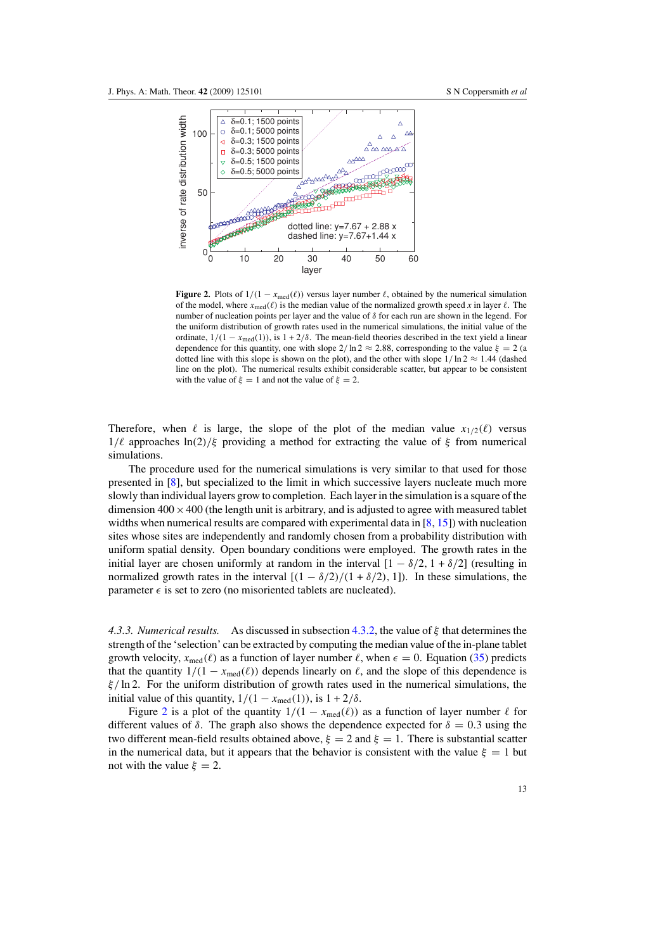

**Figure 2.** Plots of  $1/(1 - x_{\text{med}}(\ell))$  versus layer number  $\ell$ , obtained by the numerical simulation of the model, where  $x_{\text{med}}(\ell)$  is the median value of the normalized growth speed x in layer  $\ell$ . The number of nucleation points per layer and the value of *δ* for each run are shown in the legend. For the uniform distribution of growth rates used in the numerical simulations, the initial value of the ordinate,  $1/(1 - x_{\text{med}}(1))$ , is  $1 + 2/\delta$ . The mean-field theories described in the text yield a linear dependence for this quantity, one with slope  $2/\ln 2 \approx 2.88$ , corresponding to the value  $\xi = 2$  (a dotted line with this slope is shown on the plot), and the other with slope  $1/\ln 2 \approx 1.44$  (dashed line on the plot). The numerical results exhibit considerable scatter, but appear to be consistent with the value of  $\xi = 1$  and not the value of  $\xi = 2$ .

Therefore, when  $\ell$  is large, the slope of the plot of the median value  $x_{1/2}(\ell)$  versus 1*/* approaches ln*(*2*)/ξ* providing a method for extracting the value of *ξ* from numerical simulations.

The procedure used for the numerical simulations is very similar to that used for those presented in [\[8](#page-15-0)], but specialized to the limit in which successive layers nucleate much more slowly than individual layers grow to completion. Each layer in the simulation is a square of the dimension  $400 \times 400$  (the length unit is arbitrary, and is adjusted to agree with measured tablet widths when numerical results are compared with experimental data in  $[8, 15]$  $[8, 15]$  $[8, 15]$ ) with nucleation sites whose sites are independently and randomly chosen from a probability distribution with uniform spatial density. Open boundary conditions were employed. The growth rates in the initial layer are chosen uniformly at random in the interval  $[1 - \delta/2, 1 + \delta/2]$  (resulting in normalized growth rates in the interval  $[(1 - \delta/2)/(1 + \delta/2), 1]$ ). In these simulations, the parameter  $\epsilon$  is set to zero (no misoriented tablets are nucleated).

*4.3.3. Numerical results.* As discussed in subsection [4.3.2,](#page-11-0) the value of *ξ* that determines the strength of the 'selection' can be extracted by computing the median value of the in-plane tablet growth velocity,  $x_{\text{med}}(\ell)$  as a function of layer number  $\ell$ , when  $\epsilon = 0$ . Equation [\(35\)](#page-11-0) predicts that the quantity  $1/(1 - x_{\text{med}}(\ell))$  depends linearly on  $\ell$ , and the slope of this dependence is *ξ/* ln 2. For the uniform distribution of growth rates used in the numerical simulations, the initial value of this quantity,  $1/(1 - x_{\text{med}}(1))$ , is  $1 + 2/\delta$ .

Figure 2 is a plot of the quantity  $1/(1 - x_{\text{med}}(\ell))$  as a function of layer number  $\ell$  for different values of  $\delta$ . The graph also shows the dependence expected for  $\delta = 0.3$  using the two different mean-field results obtained above,  $\xi = 2$  and  $\xi = 1$ . There is substantial scatter in the numerical data, but it appears that the behavior is consistent with the value  $\xi = 1$  but not with the value  $\xi = 2$ .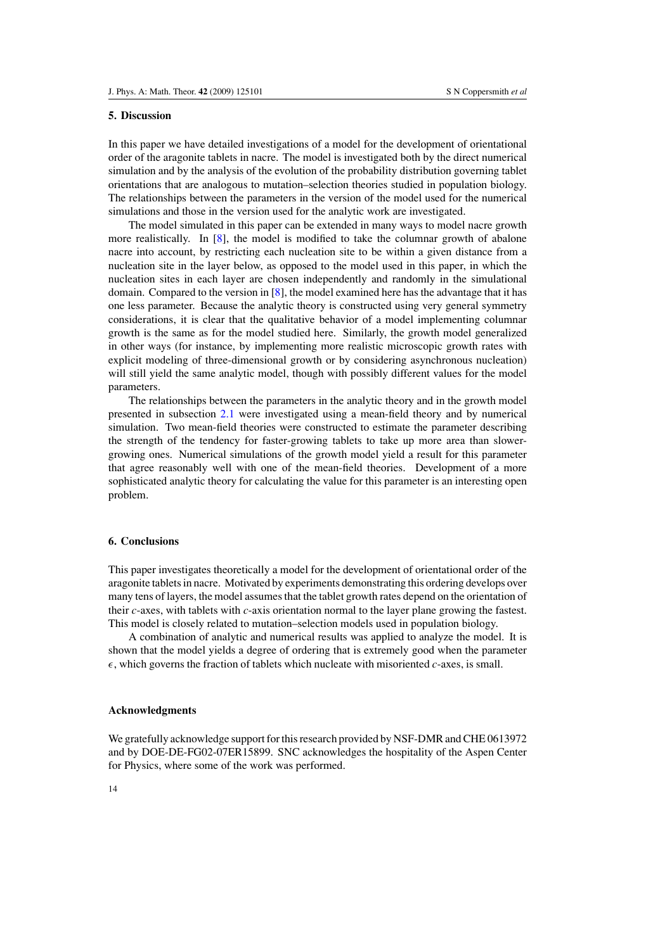# <span id="page-13-0"></span>**5. Discussion**

In this paper we have detailed investigations of a model for the development of orientational order of the aragonite tablets in nacre. The model is investigated both by the direct numerical simulation and by the analysis of the evolution of the probability distribution governing tablet orientations that are analogous to mutation–selection theories studied in population biology. The relationships between the parameters in the version of the model used for the numerical simulations and those in the version used for the analytic work are investigated.

The model simulated in this paper can be extended in many ways to model nacre growth more realistically. In [\[8\]](#page-15-0), the model is modified to take the columnar growth of abalone nacre into account, by restricting each nucleation site to be within a given distance from a nucleation site in the layer below, as opposed to the model used in this paper, in which the nucleation sites in each layer are chosen independently and randomly in the simulational domain. Compared to the version in [\[8](#page-15-0)], the model examined here has the advantage that it has one less parameter. Because the analytic theory is constructed using very general symmetry considerations, it is clear that the qualitative behavior of a model implementing columnar growth is the same as for the model studied here. Similarly, the growth model generalized in other ways (for instance, by implementing more realistic microscopic growth rates with explicit modeling of three-dimensional growth or by considering asynchronous nucleation) will still yield the same analytic model, though with possibly different values for the model parameters.

The relationships between the parameters in the analytic theory and in the growth model presented in subsection [2.1](#page-3-0) were investigated using a mean-field theory and by numerical simulation. Two mean-field theories were constructed to estimate the parameter describing the strength of the tendency for faster-growing tablets to take up more area than slowergrowing ones. Numerical simulations of the growth model yield a result for this parameter that agree reasonably well with one of the mean-field theories. Development of a more sophisticated analytic theory for calculating the value for this parameter is an interesting open problem.

# **6. Conclusions**

This paper investigates theoretically a model for the development of orientational order of the aragonite tablets in nacre. Motivated by experiments demonstrating this ordering develops over many tens of layers, the model assumes that the tablet growth rates depend on the orientation of their *c*-axes, with tablets with *c*-axis orientation normal to the layer plane growing the fastest. This model is closely related to mutation–selection models used in population biology.

A combination of analytic and numerical results was applied to analyze the model. It is shown that the model yields a degree of ordering that is extremely good when the parameter  $\epsilon$ , which governs the fraction of tablets which nucleate with misoriented *c*-axes, is small.

# **Acknowledgments**

We gratefully acknowledge support for this research provided by NSF-DMR and CHE 0613972 and by DOE-DE-FG02-07ER15899. SNC acknowledges the hospitality of the Aspen Center for Physics, where some of the work was performed.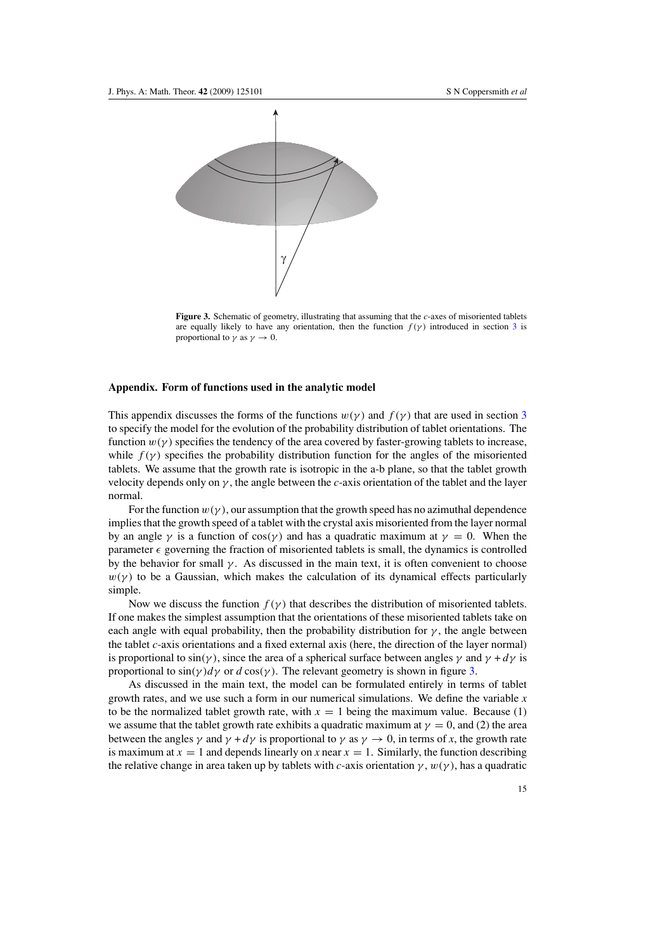

**Figure 3.** Schematic of geometry, illustrating that assuming that the *c*-axes of misoriented tablets are equally likely to have any orientation, then the function  $f(\gamma)$  introduced in section [3](#page-3-0) is proportional to  $\gamma$  as  $\gamma \to 0$ .

## **Appendix. Form of functions used in the analytic model**

This appendix discusses the forms of the functions  $w(\gamma)$  and  $f(\gamma)$  that are used in section [3](#page-3-0) to specify the model for the evolution of the probability distribution of tablet orientations. The function  $w(\gamma)$  specifies the tendency of the area covered by faster-growing tablets to increase, while  $f(\gamma)$  specifies the probability distribution function for the angles of the misoriented tablets. We assume that the growth rate is isotropic in the a-b plane, so that the tablet growth velocity depends only on *γ* , the angle between the *c*-axis orientation of the tablet and the layer normal.

For the function  $w(y)$ , our assumption that the growth speed has no azimuthal dependence implies that the growth speed of a tablet with the crystal axis misoriented from the layer normal by an angle  $\gamma$  is a function of cos( $\gamma$ ) and has a quadratic maximum at  $\gamma = 0$ . When the parameter  $\epsilon$  governing the fraction of misoriented tablets is small, the dynamics is controlled by the behavior for small  $\gamma$ . As discussed in the main text, it is often convenient to choose  $w(y)$  to be a Gaussian, which makes the calculation of its dynamical effects particularly simple.

Now we discuss the function  $f(\gamma)$  that describes the distribution of misoriented tablets. If one makes the simplest assumption that the orientations of these misoriented tablets take on each angle with equal probability, then the probability distribution for  $\gamma$ , the angle between the tablet *c*-axis orientations and a fixed external axis (here, the direction of the layer normal) is proportional to  $\sin(\gamma)$ , since the area of a spherical surface between angles  $\gamma$  and  $\gamma + d\gamma$  is proportional to  $\sin(\gamma) d\gamma$  or  $d \cos(\gamma)$ . The relevant geometry is shown in figure 3.

As discussed in the main text, the model can be formulated entirely in terms of tablet growth rates, and we use such a form in our numerical simulations. We define the variable *x* to be the normalized tablet growth rate, with  $x = 1$  being the maximum value. Because (1) we assume that the tablet growth rate exhibits a quadratic maximum at  $\gamma = 0$ , and (2) the area between the angles  $\gamma$  and  $\gamma + d\gamma$  is proportional to  $\gamma$  as  $\gamma \to 0$ , in terms of *x*, the growth rate is maximum at  $x = 1$  and depends linearly on x near  $x = 1$ . Similarly, the function describing the relative change in area taken up by tablets with *c*-axis orientation  $\gamma$ ,  $w(\gamma)$ , has a quadratic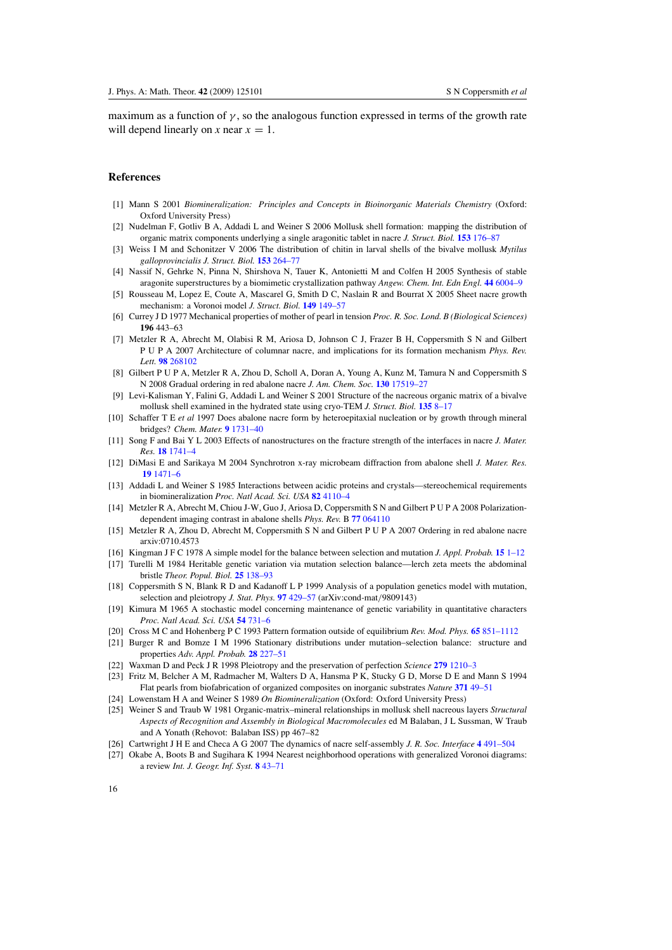<span id="page-15-0"></span>maximum as a function of  $\gamma$ , so the analogous function expressed in terms of the growth rate will depend linearly on *x* near  $x = 1$ .

#### **References**

- [1] Mann S 2001 *Biomineralization: Principles and Concepts in Bioinorganic Materials Chemistry* (Oxford: Oxford University Press)
- [2] Nudelman F, Gotliv B A, Addadi L and Weiner S 2006 Mollusk shell formation: mapping the distribution of organic matrix components underlying a single aragonitic tablet in nacre *J. Struct. Biol.* **153** [176–87](http://dx.doi.org/10.1016/j.jsb.2005.09.009)
- [3] Weiss I M and Schonitzer V 2006 The distribution of chitin in larval shells of the bivalve mollusk *Mytilus galloprovincialis J. Struct. Biol.* **153** [264–77](http://dx.doi.org/10.1016/j.jsb.2005.11.006)
- [4] Nassif N, Gehrke N, Pinna N, Shirshova N, Tauer K, Antonietti M and Colfen H 2005 Synthesis of stable aragonite superstructures by a biomimetic crystallization pathway *Angew. Chem. Int. Edn Engl.* **44** [6004–9](http://dx.doi.org/10.1002/anie.200500081)
- [5] Rousseau M, Lopez E, Coute A, Mascarel G, Smith D C, Naslain R and Bourrat X 2005 Sheet nacre growth mechanism: a Voronoi model *J. Struct. Biol.* **149** [149–57](http://dx.doi.org/10.1016/j.jsb.2004.09.005)
- [6] Currey J D 1977 Mechanical properties of mother of pearl in tension *Proc. R. Soc. Lond. B (Biological Sciences)* **196** 443–63
- [7] Metzler R A, Abrecht M, Olabisi R M, Ariosa D, Johnson C J, Frazer B H, Coppersmith S N and Gilbert PUPA 2007 Architecture of columnar nacre, and implications for its formation mechanism *Phys. Rev. Lett.* **98** [268102](http://dx.doi.org/10.1103/PhysRevLett.98.268102)
- [8] Gilbert P U P A, Metzler R A, Zhou D, Scholl A, Doran A, Young A, Kunz M, Tamura N and Coppersmith S N 2008 Gradual ordering in red abalone nacre *J. Am. Chem. Soc.* **130** [17519–27](http://dx.doi.org/10.1021/ja8065495)
- [9] Levi-Kalisman Y, Falini G, Addadi L and Weiner S 2001 Structure of the nacreous organic matrix of a bivalve mollusk shell examined in the hydrated state using cryo-TEM *J. Struct. Biol.* **135** [8–17](http://dx.doi.org/10.1006/jsbi.2001.4372)
- [10] Schaffer T E *et al* 1997 Does abalone nacre form by heteroepitaxial nucleation or by growth through mineral bridges? *Chem. Mater.* **9** [1731–40](http://dx.doi.org/10.1021/cm960429i)
- [11] Song F and Bai Y L 2003 Effects of nanostructures on the fracture strength of the interfaces in nacre *J. Mater. Res.* **18** [1741–4](http://dx.doi.org/10.1557/JMR.2003.0239)
- [12] DiMasi E and Sarikaya M 2004 Synchrotron x-ray microbeam diffraction from abalone shell *J. Mater. Res.* **19** [1471–6](http://dx.doi.org/10.1557/JMR.2004.0196)
- [13] Addadi L and Weiner S 1985 Interactions between acidic proteins and crystals—stereochemical requirements in biomineralization *Proc. Natl Acad. Sci. USA* **82** [4110–4](http://dx.doi.org/10.1073/pnas.82.12.4110)
- [14] Metzler R A, Abrecht M, Chiou J-W, Guo J, Ariosa D, Coppersmith S N and Gilbert P U P A 2008 Polarizationdependent imaging contrast in abalone shells *Phys. Rev.* B **77** [064110](http://dx.doi.org/10.1103/PhysRevB.77.064110)
- [15] Metzler R A, Zhou D, Abrecht M, Coppersmith S N and Gilbert P U P A 2007 Ordering in red abalone nacre arxiv:0710.4573
- [16] Kingman J F C 1978 A simple model for the balance between selection and mutation *J. Appl. Probab.* **15** [1–12](http://dx.doi.org/10.2307/3213231)
- [17] Turelli M 1984 Heritable genetic variation via mutation selection balance—lerch zeta meets the abdominal bristle *Theor. Popul. Biol.* **25** [138–93](http://dx.doi.org/10.1016/0040-5809(84)90017-0)
- [18] Coppersmith S N, Blank R D and Kadanoff L P 1999 Analysis of a population genetics model with mutation, selection and pleiotropy *J. Stat. Phys.* **97** [429–57](http://dx.doi.org/10.1023/A:1004678222262) (arXiv:cond-mat*/*9809143)
- [19] Kimura M 1965 A stochastic model concerning maintenance of genetic variability in quantitative characters *Proc. Natl Acad. Sci. USA* **54** [731–6](http://dx.doi.org/10.1073/pnas.54.3.731)
- [20] Cross M C and Hohenberg P C 1993 Pattern formation outside of equilibrium *Rev. Mod. Phys.* **65** [851–1112](http://dx.doi.org/10.1103/RevModPhys.65.851)
- [21] Burger R and Bomze I M 1996 Stationary distributions under mutation–selection balance: structure and properties *Adv. Appl. Probab.* **28** [227–51](http://dx.doi.org/10.2307/1427919)
- [22] Waxman D and Peck J R 1998 Pleiotropy and the preservation of perfection *Science* **279** [1210–3](http://dx.doi.org/10.1126/science.279.5354.1210)
- [23] Fritz M, Belcher A M, Radmacher M, Walters D A, Hansma P K, Stucky G D, Morse D E and Mann S 1994 Flat pearls from biofabrication of organized composites on inorganic substrates *Nature* **371** [49–51](http://dx.doi.org/10.1038/371049a0)
- [24] Lowenstam H A and Weiner S 1989 *On Biomineralization* (Oxford: Oxford University Press)
- [25] Weiner S and Traub W 1981 Organic-matrix–mineral relationships in mollusk shell nacreous layers *Structural Aspects of Recognition and Assembly in Biological Macromolecules* ed M Balaban, J L Sussman, W Traub and A Yonath (Rehovot: Balaban ISS) pp 467–82
- [26] Cartwright J H E and Checa A G 2007 The dynamics of nacre self-assembly *J. R. Soc. Interface* **4** [491–504](http://dx.doi.org/10.1098/rsif.2006.0188)
- [27] Okabe A, Boots B and Sugihara K 1994 Nearest neighborhood operations with generalized Voronoi diagrams: a review *Int. J. Geogr. Inf. Syst.* **8** [43–71](http://dx.doi.org/10.1080/02693799408901986)